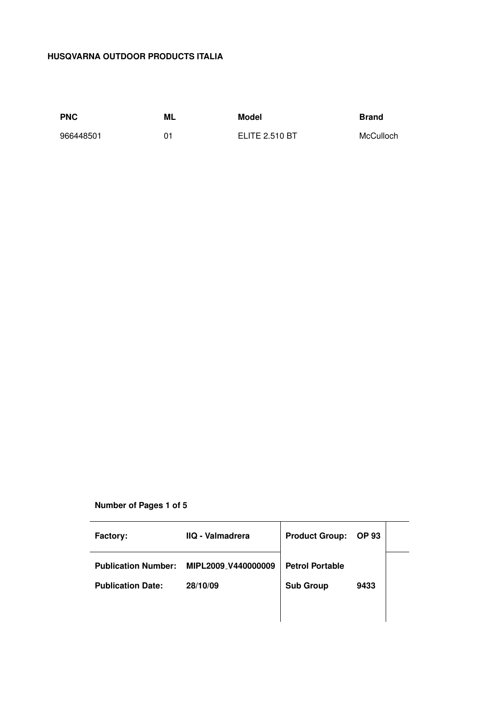# **HUSQVARNA OUTDOOR PRODUCTS ITALIA**

966448501 01 ELITE 2.510 BT McCulloch

**PNC ML Model Brand**

# **Number of Pages 1 of 5**

| <b>Factory:</b>            | <b>IIQ - Valmadrera</b> | <b>Product Group:</b>  | <b>OP 93</b> |  |
|----------------------------|-------------------------|------------------------|--------------|--|
| <b>Publication Number:</b> | MIPL2009 V440000009     | <b>Petrol Portable</b> |              |  |
| <b>Publication Date:</b>   | 28/10/09                | <b>Sub Group</b>       | 9433         |  |
|                            |                         |                        |              |  |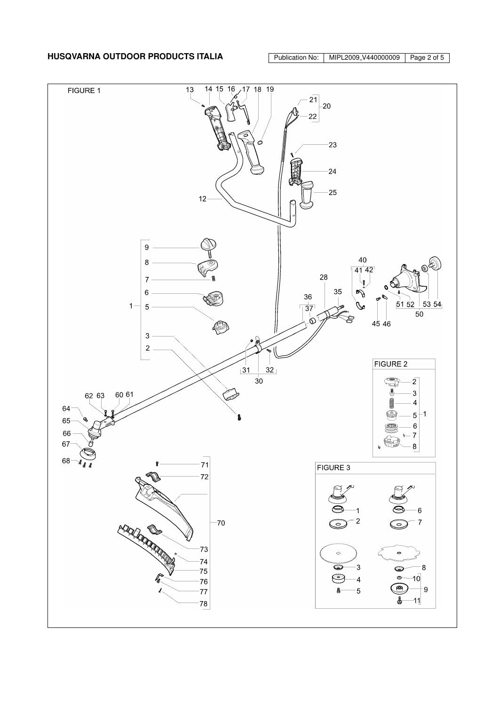

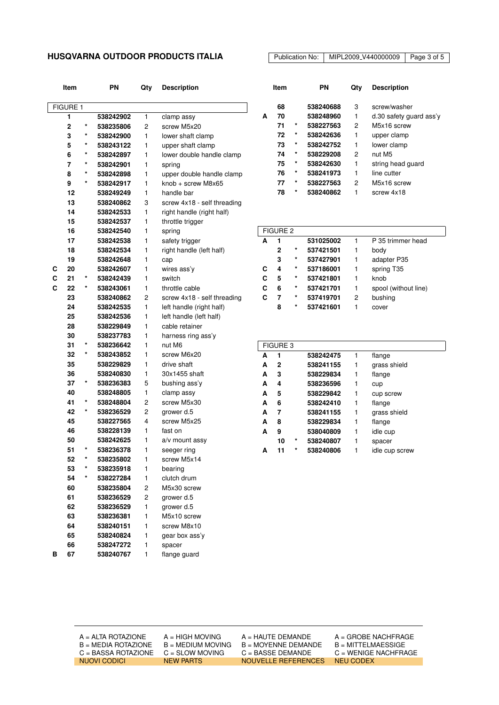### **HUSQVARNA OUTDOOR PRODUCTS ITALIA** Publication No: | MIPL2009\_V440000009 | Page 3 of 5

**Item PN Qty Description** FIGURE 1 **1 538242902** 1 clamp assy **2 \* 538235806** 2 screw M5x20 **3 \* 538242900** 1 lower shaft clamp **5 \* 538243122** 1 upper shaft clamp **6 \* 538242897** 1 lower double handle clamp **7 \* 538242901** 1 spring **8 \* 538242898** 1 upper double handle clamp **9 \* 538242917** 1 knob + screw M8x65 **12 538249249** 1 handle bar **13 538240862** 3 screw 4x18 - self threading **14 538242533** 1 right handle (right half) **15 538242537** 1 throttle trigger **16 538242540** 1 spring **17 538242538** 1 safety trigger **18 538242534** 1 right handle (left half) **19 538242648** 1 cap **C 20 538242607** 1 wires ass'y **C 21 \* 538242439** 1 switch **C 22 \* 538243061** 1 throttle cable **23 538240862** 2 screw 4x18 - self threading **24 538242535** 1 left handle (right half) **25 538242536** 1 left handle (left half) **28 538229849** 1 cable retainer **30 538237783** 1 harness ring ass'y **31 \* 538236642** 1 nut M6 **32 \* 538243852** 1 screw M6x20 **35 538229829** 1 drive shaft **36 538240830** 1 30x1455 shaft **37 \* 538236383** 5 bushing ass'y **40 538248805** 1 clamp assy **41 \* 538248804** 2 screw M5x30 **42 \* 538236529** 2 grower d.5 **45 538227565** 4 screw M5x25 **46 538228139** 1 fast on **50 538242625** 1 a/v mount assy **51 \* 538236378** 1 seeger ring **52 \* 538235802** 1 screw M5x14 **53 \* 538235918** 1 bearing **54 \* 538227284** 1 clutch drum **60 538235804** 2 M5x30 screw **61 538236529** 2 grower d.5 **62 538236529** 1 grower d.5 **63 538236381** 1 M5x10 screw **64 538240151** 1 screw M8x10 **65 538240824** 1 gear box ass'y **66 538247272** 1 spacer **B 67 538240767** 1 flange guard

|   | Item |   | ΡN        | Qtv | <b>Description</b>        |
|---|------|---|-----------|-----|---------------------------|
|   | 68   |   | 538240688 | 3   | screw/washer              |
| A | 70   |   | 538248960 | 1   | $d.30$ safety guard ass'y |
|   | 71   | * | 538227563 | 2   | M5x16 screw               |
|   | 72   | * | 538242636 | 1   | upper clamp               |
|   | 73   | * | 538242752 | 1   | lower clamp               |
|   | 74   | * | 538229208 | 2   | nut M <sub>5</sub>        |
|   | 75   | * | 538242630 | 1   | string head quard         |
|   | 76   | * | 538241973 | 1   | line cutter               |
|   | 77   | * | 538227563 | 2   | M <sub>5x16</sub> screw   |
|   | 78   | * | 538240862 |     | screw 4x18                |

| <b>FIGURE 2</b> |   |         |           |   |                      |
|-----------------|---|---------|-----------|---|----------------------|
| A               |   |         | 531025002 |   | P 35 trimmer head    |
|                 | 2 | *       | 537421501 |   | body                 |
|                 | 3 | $\star$ | 537427901 | 1 | adapter P35          |
|                 | 4 | $\star$ | 537186001 | 1 | spring T35           |
| С               | 5 | $\star$ | 537421801 | 1 | knob                 |
| С               | 6 | $\star$ | 537421701 | 1 | spool (without line) |
|                 |   | $\star$ | 537419701 | 2 | bushing              |
|                 | 8 | $\star$ | 537421601 |   | cover                |

|   | <b>FIGURE 3</b> |   |           |   |                |  |
|---|-----------------|---|-----------|---|----------------|--|
| A | 1               |   | 538242475 | 1 | flange         |  |
| А | 2               |   | 538241155 | 1 | grass shield   |  |
| A | 3               |   | 538229834 | 1 | flange         |  |
| A | 4               |   | 538236596 | 1 | cup            |  |
| A | 5               |   | 538229842 | 1 | cup screw      |  |
| A | 6               |   | 538242410 | 1 | flange         |  |
| A | 7               |   | 538241155 | 1 | grass shield   |  |
| A | 8               |   | 538229834 | 1 | flange         |  |
| A | 9               |   | 538040809 | 1 | idle cup       |  |
|   | 10              | * | 538240807 | 1 | spacer         |  |
| А | 11              | * | 538240806 |   | idle cup screw |  |

 $B = MOYENNE DEMANDE$ C = BASSA ROTAZIONE C = SLOW MOVING C = BASSE DEMANDE C = WENIGE NACHFRAGE NUOVI CODICI NEW PARTS NOUVELLE REFERENCES NEU CODEX

 $A = ALTA$  ROTAZIONE  $A = HIGH$  MOVING  $A = HA$ UTE DEMANDE  $A = GROBE$  NACHFRAGE<br>B = MEDIA ROTAZIONE B = MEDIUM MOVING B = MOYENNE DEMANDE B = MITTELMAESSIGE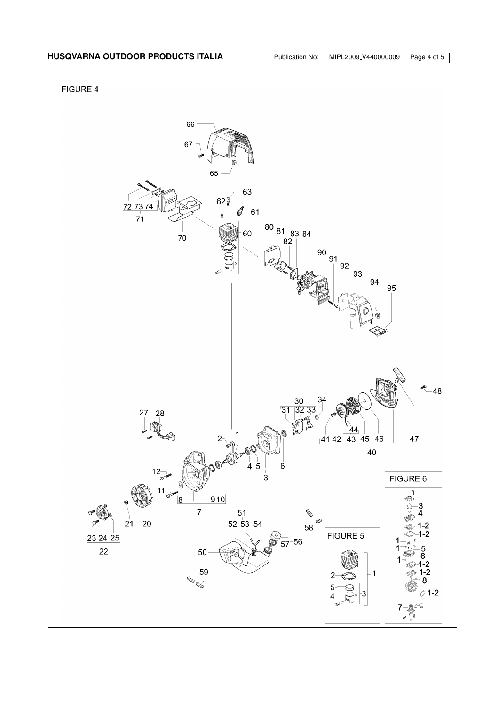# **HUSQVARNA OUTDOOR PRODUCTS ITALIA** Publication No: | MIPL2009\_V440000009 | Page 4 of 5